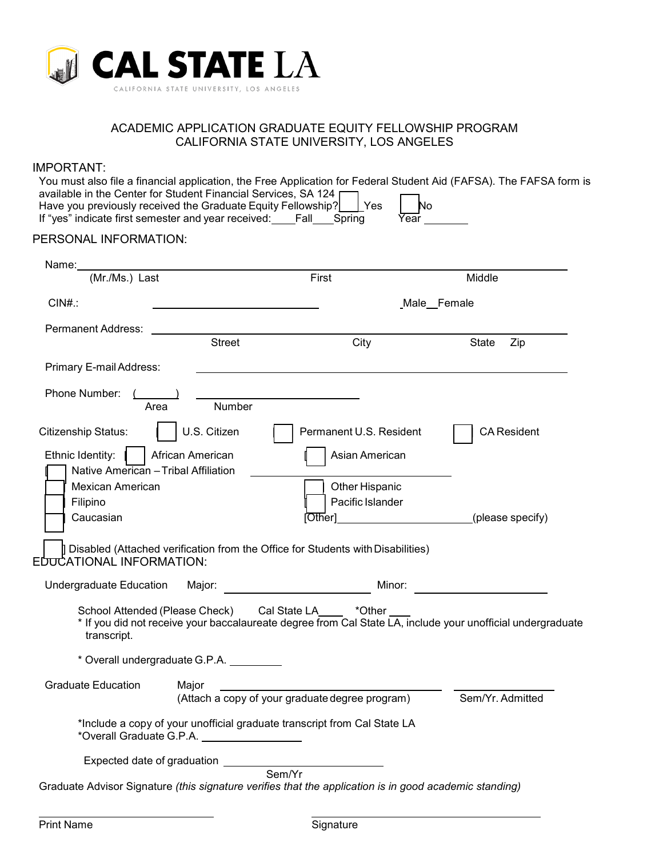

## ACADEMIC APPLICATION GRADUATE EQUITY FELLOWSHIP PROGRAM CALIFORNIA STATE UNIVERSITY, LOS ANGELES

| PERSONAL INFORMATION:                         |                                          | If "yes" indicate first semester and year received: Fall_Spring<br>Year                                                               |                    |  |
|-----------------------------------------------|------------------------------------------|---------------------------------------------------------------------------------------------------------------------------------------|--------------------|--|
| Name:                                         |                                          |                                                                                                                                       |                    |  |
| (Mr./Ms.) Last                                |                                          | First                                                                                                                                 | Middle             |  |
| $CIN#$ .:                                     |                                          | Male Female                                                                                                                           |                    |  |
| Permanent Address:                            |                                          |                                                                                                                                       |                    |  |
|                                               | <b>Street</b>                            | City                                                                                                                                  | State<br>Zip       |  |
| Primary E-mail Address:                       |                                          |                                                                                                                                       |                    |  |
| Phone Number:<br>Area                         | Number                                   |                                                                                                                                       |                    |  |
| <b>Citizenship Status:</b>                    | U.S. Citizen                             | Permanent U.S. Resident                                                                                                               | <b>CA Resident</b> |  |
| Ethnic Identity:                              | African American                         | Asian American                                                                                                                        |                    |  |
| Native American - Tribal Affiliation          |                                          |                                                                                                                                       |                    |  |
| <b>Mexican American</b>                       |                                          | Other Hispanic                                                                                                                        |                    |  |
| Filipino<br>Caucasian                         |                                          | Pacific Islander<br>[Other]                                                                                                           | (please specify)   |  |
|                                               |                                          |                                                                                                                                       |                    |  |
| EDUCATIONAL INFORMATION:                      |                                          | Disabled (Attached verification from the Office for Students with Disabilities)                                                       |                    |  |
| Undergraduate Education                       | Major:                                   | Minor:                                                                                                                                |                    |  |
| School Attended (Please Check)<br>transcript. |                                          | Cal State LA<br>*Other<br>* If you did not receive your baccalaureate degree from Cal State LA, include your unofficial undergraduate |                    |  |
|                                               | * Overall undergraduate G.P.A. _________ |                                                                                                                                       |                    |  |
| <b>Graduate Education</b>                     | Major                                    | (Attach a copy of your graduate degree program)                                                                                       | Sem/Yr. Admitted   |  |
|                                               |                                          |                                                                                                                                       |                    |  |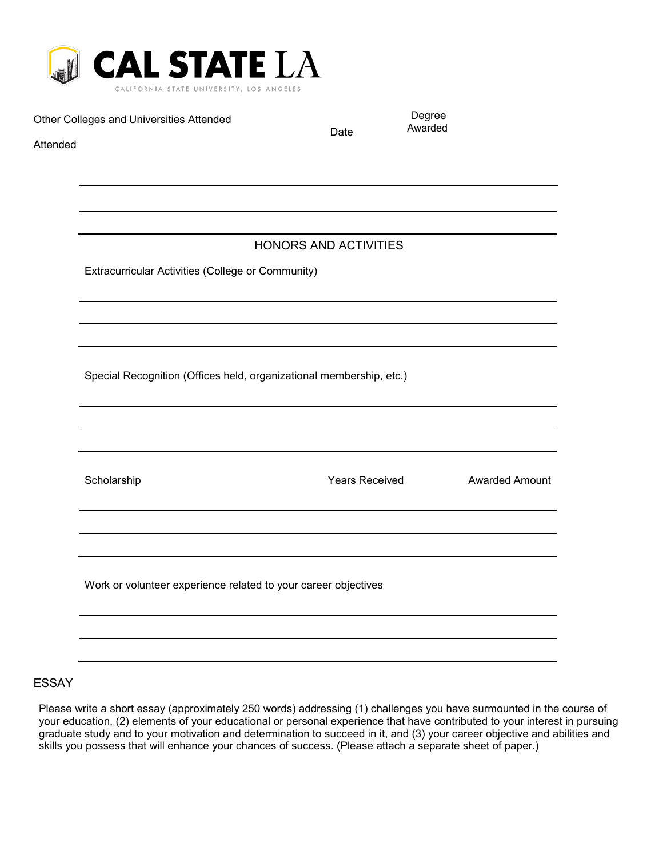

Other Colleges and Universities Attended

Date

Degree Awarded

Attended

# HONORS AND ACTIVITIES

Extracurricular Activities (College or Community)

Special Recognition (Offices held, organizational membership, etc.)

| Scholarship                                                    | <b>Years Received</b> | <b>Awarded Amount</b> |
|----------------------------------------------------------------|-----------------------|-----------------------|
|                                                                |                       |                       |
|                                                                |                       |                       |
| Work or volunteer experience related to your career objectives |                       |                       |
|                                                                |                       |                       |
|                                                                |                       |                       |

## ESSAY

Please write a short essay (approximately 250 words) addressing (1) challenges you have surmounted in the course of your education, (2) elements of your educational or personal experience that have contributed to your interest in pursuing graduate study and to your motivation and determination to succeed in it, and (3) your career objective and abilities and skills you possess that will enhance your chances of success. (Please attach a separate sheet of paper.)